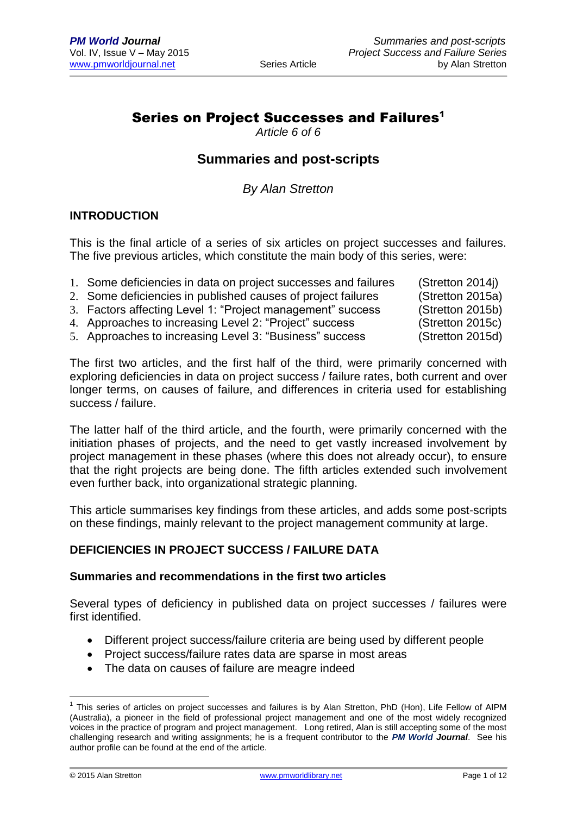## Series on Project Successes and Failures<sup>1</sup>

*Article 6 of 6*

## **Summaries and post-scripts**

*By Alan Stretton*

## **INTRODUCTION**

This is the final article of a series of six articles on project successes and failures. The five previous articles, which constitute the main body of this series, were:

| 1. Some deficiencies in data on project successes and failures | (Stretton 2014)  |
|----------------------------------------------------------------|------------------|
| 2. Some deficiencies in published causes of project failures   | (Stretton 2015a) |
| 3. Factors affecting Level 1: "Project management" success     | (Stretton 2015b) |
| 4. Approaches to increasing Level 2: "Project" success         | (Stretton 2015c) |
| 5. Approaches to increasing Level 3: "Business" success        | (Stretton 2015d) |

The first two articles, and the first half of the third, were primarily concerned with exploring deficiencies in data on project success / failure rates, both current and over longer terms, on causes of failure, and differences in criteria used for establishing success / failure.

The latter half of the third article, and the fourth, were primarily concerned with the initiation phases of projects, and the need to get vastly increased involvement by project management in these phases (where this does not already occur), to ensure that the right projects are being done. The fifth articles extended such involvement even further back, into organizational strategic planning.

This article summarises key findings from these articles, and adds some post-scripts on these findings, mainly relevant to the project management community at large.

## **DEFICIENCIES IN PROJECT SUCCESS / FAILURE DATA**

#### **Summaries and recommendations in the first two articles**

Several types of deficiency in published data on project successes / failures were first identified.

- Different project success/failure criteria are being used by different people
- Project success/failure rates data are sparse in most areas
- The data on causes of failure are meagre indeed

1

<sup>&</sup>lt;sup>1</sup> This series of articles on project successes and failures is by Alan Stretton, PhD (Hon), Life Fellow of AIPM (Australia), a pioneer in the field of professional project management and one of the most widely recognized voices in the practice of program and project management. Long retired, Alan is still accepting some of the most challenging research and writing assignments; he is a frequent contributor to the *PM World Journal*. See his author profile can be found at the end of the article.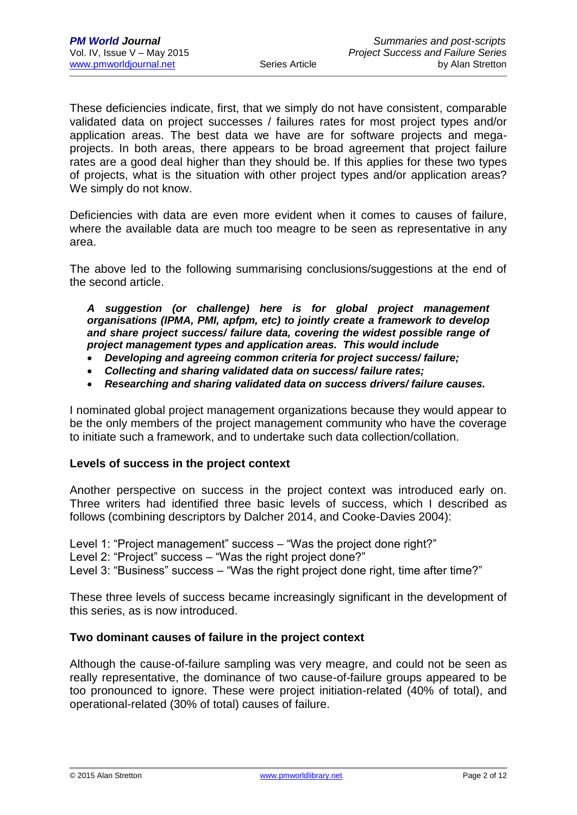These deficiencies indicate, first, that we simply do not have consistent, comparable validated data on project successes / failures rates for most project types and/or application areas. The best data we have are for software projects and megaprojects. In both areas, there appears to be broad agreement that project failure rates are a good deal higher than they should be. If this applies for these two types of projects, what is the situation with other project types and/or application areas? We simply do not know.

Deficiencies with data are even more evident when it comes to causes of failure, where the available data are much too meagre to be seen as representative in any area.

The above led to the following summarising conclusions/suggestions at the end of the second article.

*A suggestion (or challenge) here is for global project management organisations (IPMA, PMI, apfpm, etc) to jointly create a framework to develop and share project success/ failure data, covering the widest possible range of project management types and application areas. This would include*

- *Developing and agreeing common criteria for project success/ failure;*
- *Collecting and sharing validated data on success/ failure rates;*
- *Researching and sharing validated data on success drivers/ failure causes.*

I nominated global project management organizations because they would appear to be the only members of the project management community who have the coverage to initiate such a framework, and to undertake such data collection/collation.

#### **Levels of success in the project context**

Another perspective on success in the project context was introduced early on. Three writers had identified three basic levels of success, which I described as follows (combining descriptors by Dalcher 2014, and Cooke-Davies 2004):

Level 1: "Project management" success – "Was the project done right?" Level 2: "Project" success – "Was the right project done?" Level 3: "Business" success – "Was the right project done right, time after time?"

These three levels of success became increasingly significant in the development of this series, as is now introduced.

#### **Two dominant causes of failure in the project context**

Although the cause-of-failure sampling was very meagre, and could not be seen as really representative, the dominance of two cause-of-failure groups appeared to be too pronounced to ignore. These were project initiation-related (40% of total), and operational-related (30% of total) causes of failure.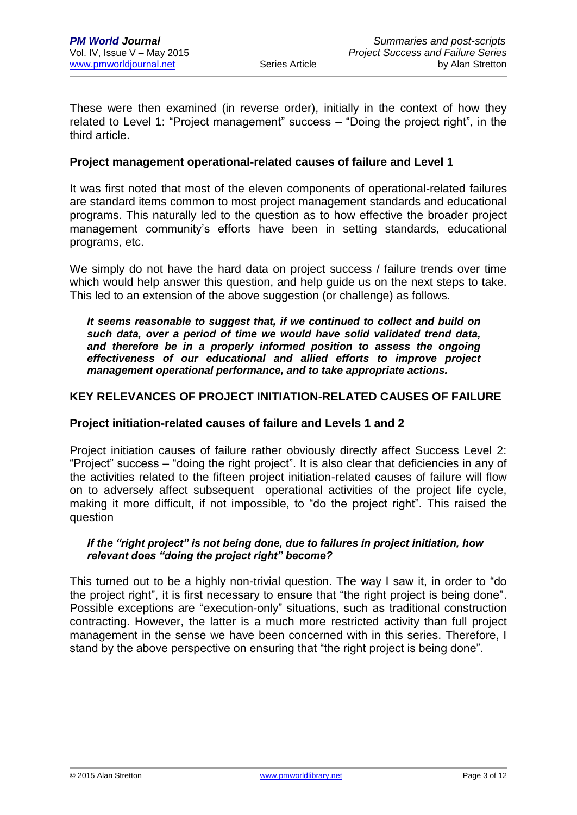These were then examined (in reverse order), initially in the context of how they related to Level 1: "Project management" success – "Doing the project right", in the third article.

## **Project management operational-related causes of failure and Level 1**

It was first noted that most of the eleven components of operational-related failures are standard items common to most project management standards and educational programs. This naturally led to the question as to how effective the broader project management community's efforts have been in setting standards, educational programs, etc.

We simply do not have the hard data on project success / failure trends over time which would help answer this question, and help guide us on the next steps to take. This led to an extension of the above suggestion (or challenge) as follows.

*It seems reasonable to suggest that, if we continued to collect and build on such data, over a period of time we would have solid validated trend data,*  and therefore be in a properly informed position to assess the ongoing *effectiveness of our educational and allied efforts to improve project management operational performance, and to take appropriate actions.*

## **KEY RELEVANCES OF PROJECT INITIATION-RELATED CAUSES OF FAILURE**

#### **Project initiation-related causes of failure and Levels 1 and 2**

Project initiation causes of failure rather obviously directly affect Success Level 2: "Project" success – "doing the right project". It is also clear that deficiencies in any of the activities related to the fifteen project initiation-related causes of failure will flow on to adversely affect subsequent operational activities of the project life cycle, making it more difficult, if not impossible, to "do the project right". This raised the question

#### *If the "right project" is not being done, due to failures in project initiation, how relevant does "doing the project right" become?*

This turned out to be a highly non-trivial question. The way I saw it, in order to "do the project right", it is first necessary to ensure that "the right project is being done". Possible exceptions are "execution-only" situations, such as traditional construction contracting. However, the latter is a much more restricted activity than full project management in the sense we have been concerned with in this series. Therefore, I stand by the above perspective on ensuring that "the right project is being done".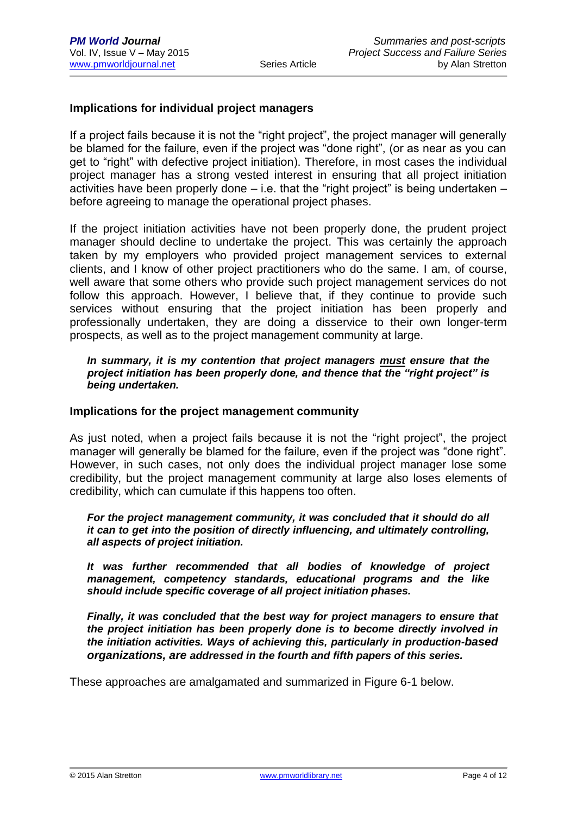## **Implications for individual project managers**

If a project fails because it is not the "right project", the project manager will generally be blamed for the failure, even if the project was "done right", (or as near as you can get to "right" with defective project initiation). Therefore, in most cases the individual project manager has a strong vested interest in ensuring that all project initiation activities have been properly done – i.e. that the "right project" is being undertaken – before agreeing to manage the operational project phases.

If the project initiation activities have not been properly done, the prudent project manager should decline to undertake the project. This was certainly the approach taken by my employers who provided project management services to external clients, and I know of other project practitioners who do the same. I am, of course, well aware that some others who provide such project management services do not follow this approach. However, I believe that, if they continue to provide such services without ensuring that the project initiation has been properly and professionally undertaken, they are doing a disservice to their own longer-term prospects, as well as to the project management community at large.

#### *In summary, it is my contention that project managers must ensure that the project initiation has been properly done, and thence that the "right project" is being undertaken.*

#### **Implications for the project management community**

As just noted, when a project fails because it is not the "right project", the project manager will generally be blamed for the failure, even if the project was "done right". However, in such cases, not only does the individual project manager lose some credibility, but the project management community at large also loses elements of credibility, which can cumulate if this happens too often.

#### *For the project management community, it was concluded that it should do all it can to get into the position of directly influencing, and ultimately controlling, all aspects of project initiation.*

*It was further recommended that all bodies of knowledge of project management, competency standards, educational programs and the like should include specific coverage of all project initiation phases.*

*Finally, it was concluded that the best way for project managers to ensure that the project initiation has been properly done is to become directly involved in the initiation activities. Ways of achieving this, particularly in production-based organizations, are addressed in the fourth and fifth papers of this series.*

These approaches are amalgamated and summarized in Figure 6-1 below.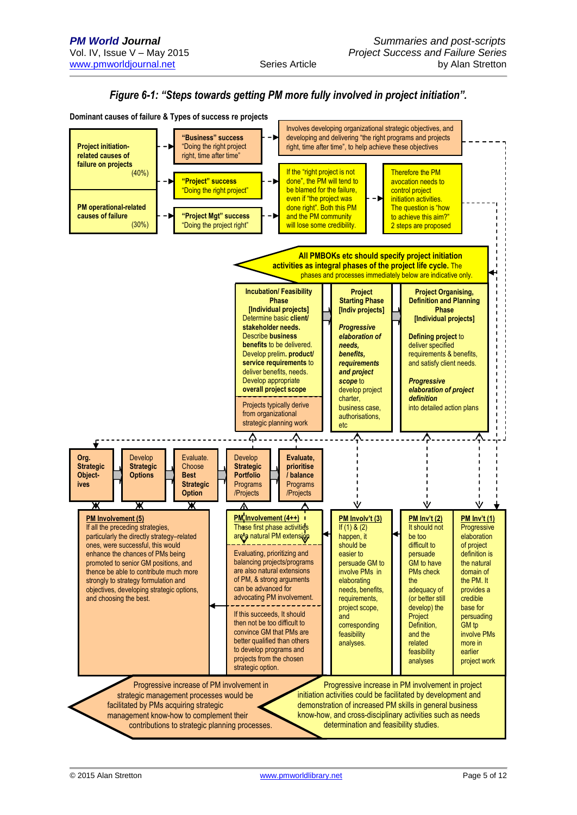

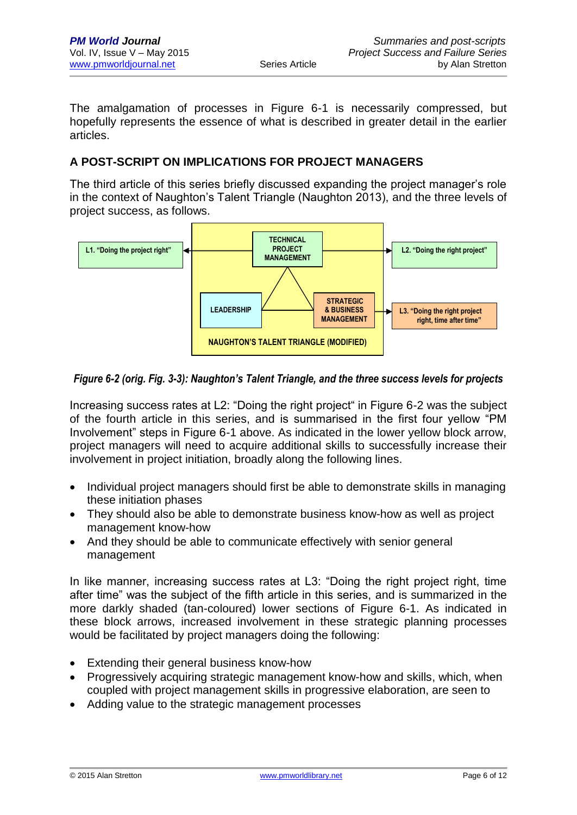The amalgamation of processes in Figure 6-1 is necessarily compressed, but hopefully represents the essence of what is described in greater detail in the earlier articles.

## **A POST-SCRIPT ON IMPLICATIONS FOR PROJECT MANAGERS**

The third article of this series briefly discussed expanding the project manager's role in the context of Naughton's Talent Triangle (Naughton 2013), and the three levels of project success, as follows.



## *Figure 6-2 (orig. Fig. 3-3): Naughton's Talent Triangle, and the three success levels for projects*

Increasing success rates at L2: "Doing the right project" in Figure 6-2 was the subject of the fourth article in this series, and is summarised in the first four yellow "PM Involvement" steps in Figure 6-1 above. As indicated in the lower yellow block arrow, project managers will need to acquire additional skills to successfully increase their involvement in project initiation, broadly along the following lines.

- Individual project managers should first be able to demonstrate skills in managing these initiation phases
- They should also be able to demonstrate business know-how as well as project management know-how
- And they should be able to communicate effectively with senior general management

In like manner, increasing success rates at L3: "Doing the right project right, time after time" was the subject of the fifth article in this series, and is summarized in the more darkly shaded (tan-coloured) lower sections of Figure 6-1. As indicated in these block arrows, increased involvement in these strategic planning processes would be facilitated by project managers doing the following:

- Extending their general business know-how
- Progressively acquiring strategic management know-how and skills, which, when coupled with project management skills in progressive elaboration, are seen to
- Adding value to the strategic management processes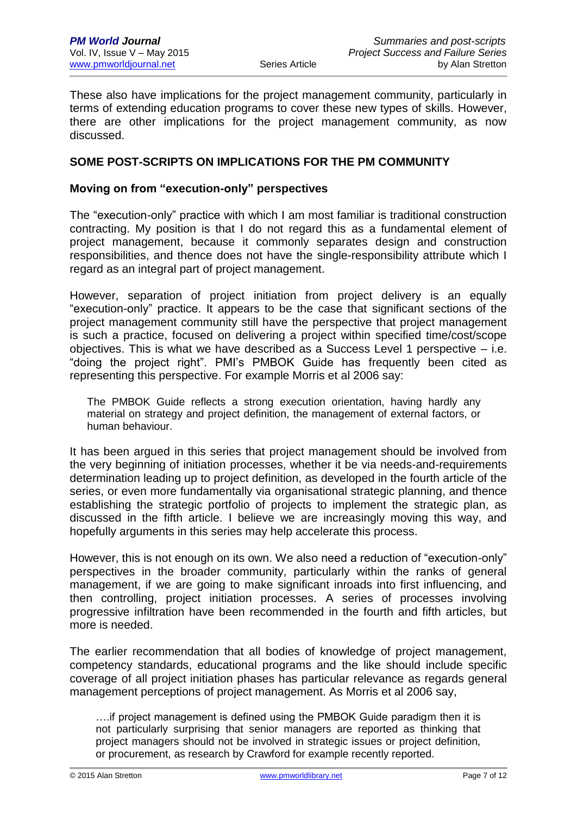These also have implications for the project management community, particularly in terms of extending education programs to cover these new types of skills. However, there are other implications for the project management community, as now discussed.

## **SOME POST-SCRIPTS ON IMPLICATIONS FOR THE PM COMMUNITY**

#### **Moving on from "execution-only" perspectives**

The "execution-only" practice with which I am most familiar is traditional construction contracting. My position is that I do not regard this as a fundamental element of project management, because it commonly separates design and construction responsibilities, and thence does not have the single-responsibility attribute which I regard as an integral part of project management.

However, separation of project initiation from project delivery is an equally "execution-only" practice. It appears to be the case that significant sections of the project management community still have the perspective that project management is such a practice, focused on delivering a project within specified time/cost/scope objectives. This is what we have described as a Success Level 1 perspective – i.e. "doing the project right". PMI's PMBOK Guide has frequently been cited as representing this perspective. For example Morris et al 2006 say:

The PMBOK Guide reflects a strong execution orientation, having hardly any material on strategy and project definition, the management of external factors, or human behaviour.

It has been argued in this series that project management should be involved from the very beginning of initiation processes, whether it be via needs-and-requirements determination leading up to project definition, as developed in the fourth article of the series, or even more fundamentally via organisational strategic planning, and thence establishing the strategic portfolio of projects to implement the strategic plan, as discussed in the fifth article. I believe we are increasingly moving this way, and hopefully arguments in this series may help accelerate this process.

However, this is not enough on its own. We also need a reduction of "execution-only" perspectives in the broader community, particularly within the ranks of general management, if we are going to make significant inroads into first influencing, and then controlling, project initiation processes. A series of processes involving progressive infiltration have been recommended in the fourth and fifth articles, but more is needed.

The earlier recommendation that all bodies of knowledge of project management, competency standards, educational programs and the like should include specific coverage of all project initiation phases has particular relevance as regards general management perceptions of project management. As Morris et al 2006 say,

….if project management is defined using the PMBOK Guide paradigm then it is not particularly surprising that senior managers are reported as thinking that project managers should not be involved in strategic issues or project definition, or procurement, as research by Crawford for example recently reported.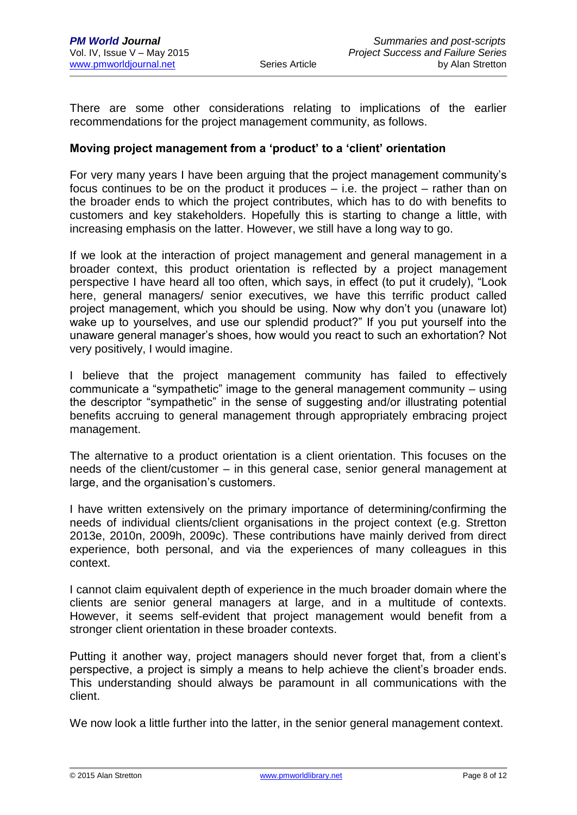There are some other considerations relating to implications of the earlier recommendations for the project management community, as follows.

## **Moving project management from a 'product' to a 'client' orientation**

For very many years I have been arguing that the project management community's focus continues to be on the product it produces  $-$  i.e. the project  $-$  rather than on the broader ends to which the project contributes, which has to do with benefits to customers and key stakeholders. Hopefully this is starting to change a little, with increasing emphasis on the latter. However, we still have a long way to go.

If we look at the interaction of project management and general management in a broader context, this product orientation is reflected by a project management perspective I have heard all too often, which says, in effect (to put it crudely), "Look here, general managers/ senior executives, we have this terrific product called project management, which you should be using. Now why don't you (unaware lot) wake up to yourselves, and use our splendid product?" If you put yourself into the unaware general manager's shoes, how would you react to such an exhortation? Not very positively, I would imagine.

I believe that the project management community has failed to effectively communicate a "sympathetic" image to the general management community – using the descriptor "sympathetic" in the sense of suggesting and/or illustrating potential benefits accruing to general management through appropriately embracing project management.

The alternative to a product orientation is a client orientation. This focuses on the needs of the client/customer – in this general case, senior general management at large, and the organisation's customers.

I have written extensively on the primary importance of determining/confirming the needs of individual clients/client organisations in the project context (e.g. Stretton 2013e, 2010n, 2009h, 2009c). These contributions have mainly derived from direct experience, both personal, and via the experiences of many colleagues in this context.

I cannot claim equivalent depth of experience in the much broader domain where the clients are senior general managers at large, and in a multitude of contexts. However, it seems self-evident that project management would benefit from a stronger client orientation in these broader contexts.

Putting it another way, project managers should never forget that, from a client's perspective, a project is simply a means to help achieve the client's broader ends. This understanding should always be paramount in all communications with the client.

We now look a little further into the latter, in the senior general management context.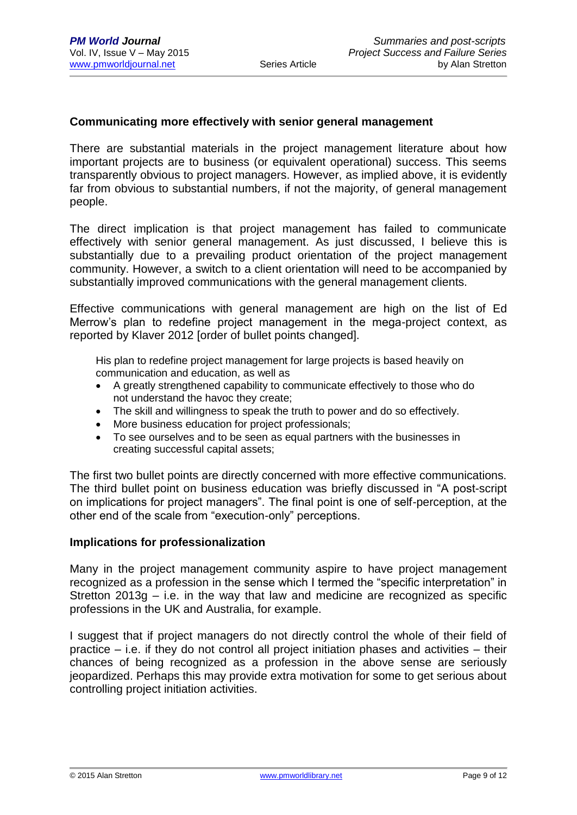## **Communicating more effectively with senior general management**

There are substantial materials in the project management literature about how important projects are to business (or equivalent operational) success. This seems transparently obvious to project managers. However, as implied above, it is evidently far from obvious to substantial numbers, if not the majority, of general management people.

The direct implication is that project management has failed to communicate effectively with senior general management. As just discussed, I believe this is substantially due to a prevailing product orientation of the project management community. However, a switch to a client orientation will need to be accompanied by substantially improved communications with the general management clients.

Effective communications with general management are high on the list of Ed Merrow's plan to redefine project management in the mega-project context, as reported by Klaver 2012 [order of bullet points changed].

His plan to redefine project management for large projects is based heavily on communication and education, as well as

- A greatly strengthened capability to communicate effectively to those who do not understand the havoc they create;
- The skill and willingness to speak the truth to power and do so effectively.
- More business education for project professionals;
- To see ourselves and to be seen as equal partners with the businesses in creating successful capital assets;

The first two bullet points are directly concerned with more effective communications. The third bullet point on business education was briefly discussed in "A post-script on implications for project managers". The final point is one of self-perception, at the other end of the scale from "execution-only" perceptions.

#### **Implications for professionalization**

Many in the project management community aspire to have project management recognized as a profession in the sense which I termed the "specific interpretation" in Stretton 2013g – i.e. in the way that law and medicine are recognized as specific professions in the UK and Australia, for example.

I suggest that if project managers do not directly control the whole of their field of practice – i.e. if they do not control all project initiation phases and activities – their chances of being recognized as a profession in the above sense are seriously jeopardized. Perhaps this may provide extra motivation for some to get serious about controlling project initiation activities.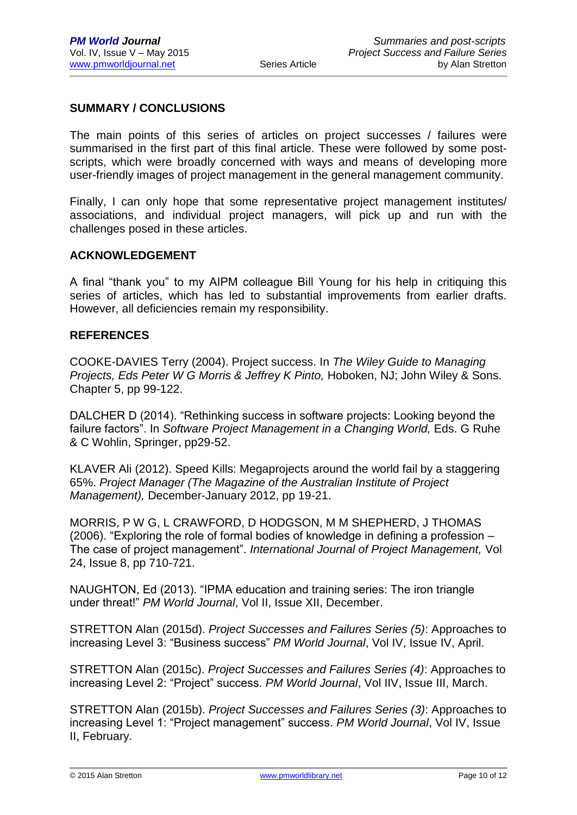## **SUMMARY / CONCLUSIONS**

The main points of this series of articles on project successes / failures were summarised in the first part of this final article. These were followed by some postscripts, which were broadly concerned with ways and means of developing more user-friendly images of project management in the general management community.

Finally, I can only hope that some representative project management institutes/ associations, and individual project managers, will pick up and run with the challenges posed in these articles.

#### **ACKNOWLEDGEMENT**

A final "thank you" to my AIPM colleague Bill Young for his help in critiquing this series of articles, which has led to substantial improvements from earlier drafts. However, all deficiencies remain my responsibility.

#### **REFERENCES**

COOKE-DAVIES Terry (2004). Project success. In *The Wiley Guide to Managing Projects, Eds Peter W G Morris & Jeffrey K Pinto,* Hoboken, NJ; John Wiley & Sons. Chapter 5, pp 99-122.

DALCHER D (2014). "Rethinking success in software projects: Looking beyond the failure factors". In *Software Project Management in a Changing World,* Eds. G Ruhe & C Wohlin, Springer, pp29-52.

KLAVER Ali (2012). Speed Kills: Megaprojects around the world fail by a staggering 65%. *Project Manager (The Magazine of the Australian Institute of Project Management),* December-January 2012, pp 19-21.

MORRIS, P W G, L CRAWFORD, D HODGSON, M M SHEPHERD, J THOMAS (2006). "Exploring the role of formal bodies of knowledge in defining a profession – The case of project management". *International Journal of Project Management,* Vol 24, Issue 8, pp 710-721.

NAUGHTON, Ed (2013). "IPMA education and training series: The iron triangle under threat!" *PM World Journal*, Vol II, Issue XII, December.

STRETTON Alan (2015d). *Project Successes and Failures Series (5)*: Approaches to increasing Level 3: "Business success" *PM World Journal*, Vol IV, Issue IV, April.

STRETTON Alan (2015c). *Project Successes and Failures Series (4)*: Approaches to increasing Level 2: "Project" success. *PM World Journal*, Vol IIV, Issue III, March.

STRETTON Alan (2015b). *Project Successes and Failures Series (3)*: Approaches to increasing Level 1: "Project management" success. *PM World Journal*, Vol IV, Issue II, February.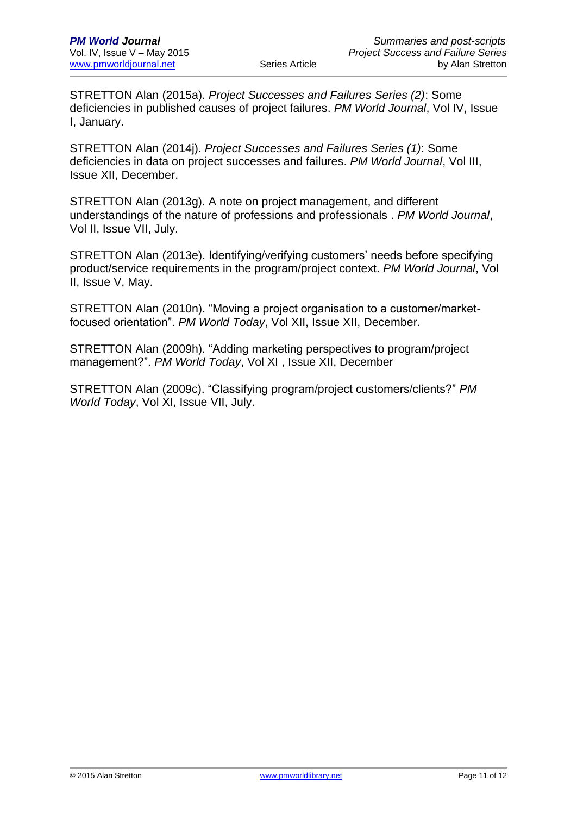STRETTON Alan (2015a). *Project Successes and Failures Series (2)*: Some deficiencies in published causes of project failures. *PM World Journal*, Vol IV, Issue I, January.

STRETTON Alan (2014j). *Project Successes and Failures Series (1)*: Some deficiencies in data on project successes and failures. *PM World Journal*, Vol III, Issue XII, December.

STRETTON Alan (2013g). A note on project management, and different understandings of the nature of professions and professionals . *PM World Journal*, Vol II, Issue VII, July.

STRETTON Alan (2013e). Identifying/verifying customers' needs before specifying product/service requirements in the program/project context. *PM World Journal*, Vol II, Issue V, May.

STRETTON Alan (2010n). "Moving a project organisation to a customer/marketfocused orientation". *PM World Today*, Vol XII, Issue XII, December.

STRETTON Alan (2009h). "Adding marketing perspectives to program/project management?". *PM World Today*, Vol XI , Issue XII, December

STRETTON Alan (2009c). "Classifying program/project customers/clients?" *PM World Today*, Vol XI, Issue VII, July.